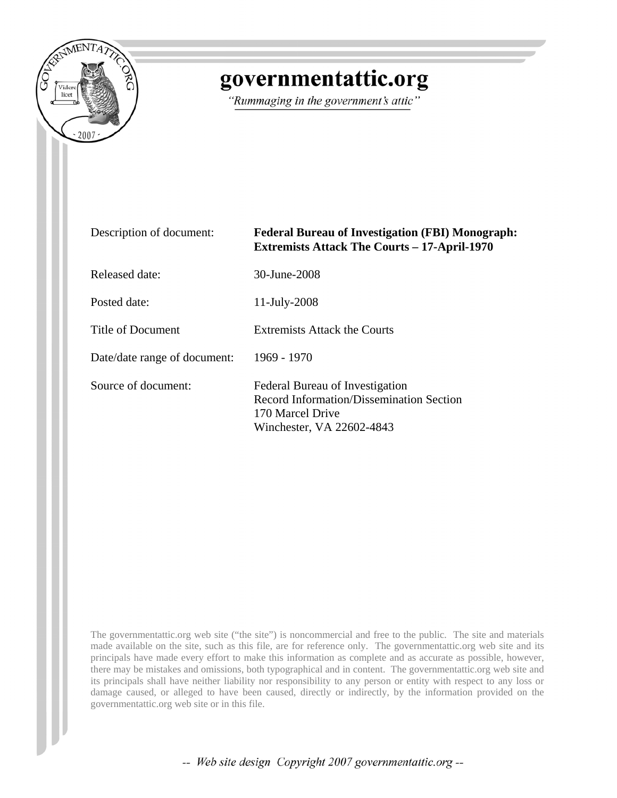

# governmentattic.org

"Rummaging in the government's attic"

| Description of document:     | <b>Federal Bureau of Investigation (FBI) Monograph:</b><br><b>Extremists Attack The Courts - 17-April-1970</b>               |
|------------------------------|------------------------------------------------------------------------------------------------------------------------------|
| Released date:               | 30-June-2008                                                                                                                 |
| Posted date:                 | 11-July-2008                                                                                                                 |
| Title of Document            | Extremists Attack the Courts                                                                                                 |
| Date/date range of document: | 1969 - 1970                                                                                                                  |
| Source of document:          | Federal Bureau of Investigation<br>Record Information/Dissemination Section<br>170 Marcel Drive<br>Winchester, VA 22602-4843 |

The governmentattic.org web site ("the site") is noncommercial and free to the public. The site and materials made available on the site, such as this file, are for reference only. The governmentattic.org web site and its principals have made every effort to make this information as complete and as accurate as possible, however, there may be mistakes and omissions, both typographical and in content. The governmentattic.org web site and its principals shall have neither liability nor responsibility to any person or entity with respect to any loss or damage caused, or alleged to have been caused, directly or indirectly, by the information provided on the governmentattic.org web site or in this file.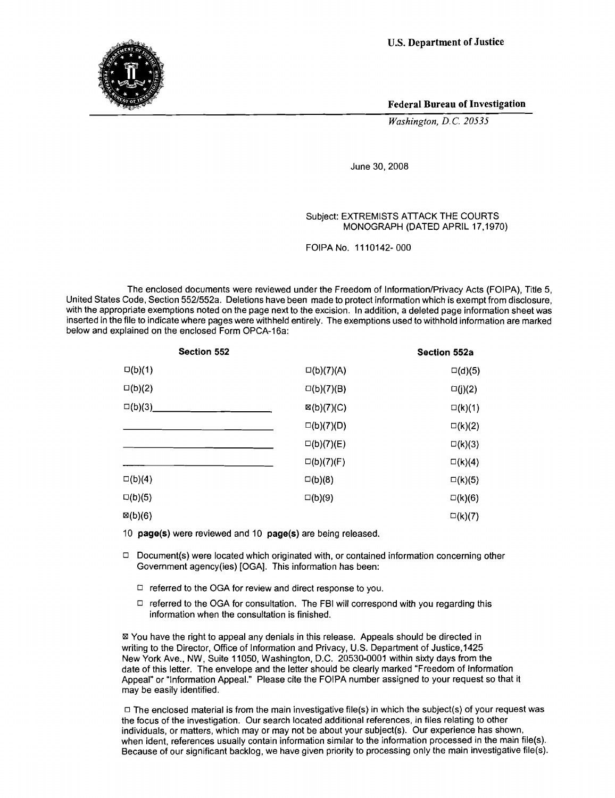**U.S. Department of Justice** 



Federal Bureau of Investigation

*Washington, D.C. 20535*

June 30, 2008

#### Subject: EXTREMISTS ATTACK THE COURTS MONOGRAPH (DATED APRIL 17,1970)

FOIPA No. 1110142- 000

The enclosed documents were reviewed under the Freedom of Information/Privacy Acts (FOIPA), Title 5, United States Code, Section 552/552a. Deletions have been made to protect information which is exempt from disclosure, with the appropriate exemptions noted on the page next to the excision. In addition, a deleted page information sheet was inserted in the file to indicate where pages were withheld entirely. The exemptions used to withhold information are marked below and explained on the enclosed Form OPCA-16a:

|                       | Section 552a     |
|-----------------------|------------------|
| $\square(b)(7)(A)$    | $\square(d)(5)$  |
| $\square(b)(7)(B)$    | $\square(j)(2)$  |
| $\boxtimes$ (b)(7)(C) | $\square$ (k)(1) |
| $\square(b)(7)(D)$    | $\square$ (k)(2) |
| $\square(b)(7)(E)$    | $\square$ (k)(3) |
| $\square(b)(7)(F)$    | $\square$ (k)(4) |
| $\square(b)(8)$       | $\square$ (k)(5) |
| $\square(b)(9)$       | $\square$ (k)(6) |
|                       | $\square$ (k)(7) |
|                       |                  |

10 page(s) were reviewed and 10 page(s) are being released.

- $\Box$  Document(s) were located which originated with, or contained information concerning other Government agency(ies) [OGA]. This information has been:
	- $\Box$  referred to the OGA for review and direct response to you.
	- $\Box$  referred to the OGA for consultation. The FBI will correspond with you regarding this information when the consultation is finished.

<sup>181</sup> You have the right to appeal any denials in this release. Appeals should be directed in writing to the Director, Office of Information and Privacy, U.S. Department of Justice,1425 New York Ave., NW, Suite 11050, Washington, D.C. 20530-0001 within sixty days from the date of this letter. The envelope and the letter should be clearly marked "Freedom of Information Appeal" or "Information Appeal." Please cite the FOIPA number assigned to your request so that it may be easily identified.

 $\Box$  The enclosed material is from the main investigative file(s) in which the subject(s) of your request was the focus of the investigation. Our search located additional references, in files relating to other individuals, or matters, which may or may not be about your subject(s). Our experience has shown, when ident, references usually contain information similar to the information processed in the main file(s). Because of our significant backlog, we have given priority to processing only the main investigative file(s).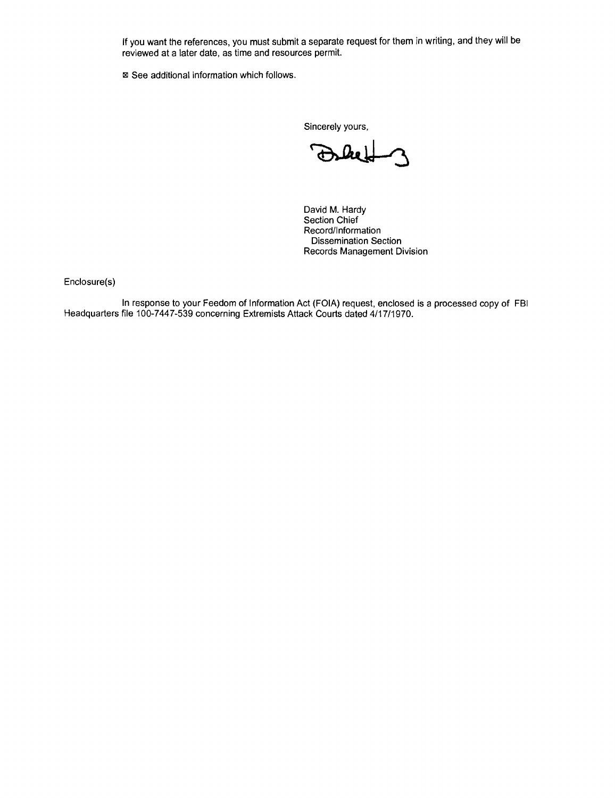If you want the references, you must submit a separate request for them in writing, and they will be reviewed at a later date, as time and resources permit.

■ See additional information which follows.

Sincerely yours,

David M. Hardy Section Chief Record/Information Dissemination Section Records Management Division

Enclosure(s)

In response to your Feedom of Information Act (FOIA) request, enclosed is a processed copy of FBI Headquarters file 100-7447-539 concerning Extremists Attack Courts dated 4/17/1970.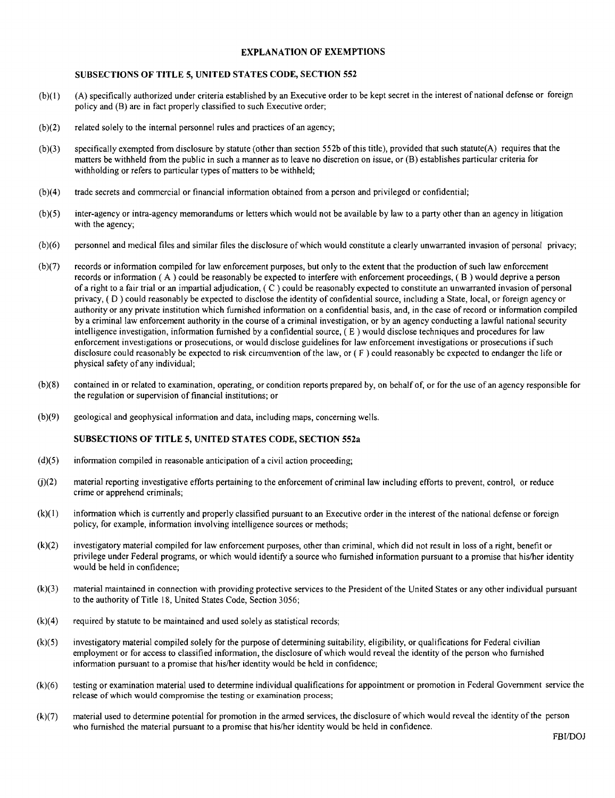#### EXPLANATION OF EXEMPTIONS

#### SUBSECTIONS OF **TITLE** 5, UNITED STATES CODE, SECTION 552

- (b)(l) (A) specifically authorized under criteria established by an Executive order to be kept secret in the interest of national defense or foreign policy and (B) are in fact properly classified to such Executive order;
- (b)(2) related solely to the internal personnel rules and practices of an agency;
- (b)(3) specifically exempted from disclosure by statute (other than section 552b of this title), provided that such statute(A) requires that the matters be withheld from the public in such a manner as to leave no discretion on issue, or (B) establishes particular criteria for withholding or refers to particular types of matters to be withheld;
- (b)(4) trade secrets and commercial or financial information obtained from a person and privileged or confidential;
- (b)(5) inter-agency or intra-agency memorandums or letters which would not be available by law to a party other than an agency in litigation with the agency;
- (b)(6) personnel and medical files and similar files the disclosure of which would constitute a clearly unwarranted invasion of personal privacy;
- (b)(7) records or information compiled for law enforcement purposes, but only to the extent that the production of such law enforcement records or information ( A ) could be reasonably be expected to interfere with enforcement proceedings, ( B ) would deprive a person of a right to a fair trial or an impartial adjudication, ( C ) could be reasonably expected to constitute an unwarranted invasion of personal privacy, ( 0 ) could reasonably be expected to disclose the identity of confidential source, including a State, local, or foreign agency or authority or any private institution which furnished information on a confidential basis, and, in the case of record or information compiled by a criminal law enforcement authority in the course of a criminal investigation, or by an agency conducting a lawful national security intelligence investigation, information furnished by a confidential source,  $(E)$  would disclose techniques and procedures for law enforcement investigations or prosecutions, or would disclose guidelines for law enforcement investigations or prosecutions if such disclosure could reasonably be expected to risk circumvention of the law, or ( F ) could reasonably be expected to endanger the life or physical safety of any individual;
- (b)(8) contained in or related to examination, operating, or condition reports prepared by, on behalf of, or for the use of an agency responsible for the regulation or supervision of financial institutions; or
- (b)(9) geological and geophysical information and data, including maps, concerning wells.

#### SUBSECTIONS OF **TITLE** 5, UNITED STATES CODE, SECTION 552a

- $(d)(5)$  information compiled in reasonable anticipation of a civil action proceeding;
- (j)(2) material reporting investigative efforts pertaining to the enforcement of criminal law including efforts to prevent, control, or reduce crime or apprehend criminals;
- $(k)(1)$  information which is currently and properly classified pursuant to an Executive order in the interest of the national defense or foreign policy, for example, information involving intelligence sources or methods;
- (k)(2) investigatory material compiled for law enforcement purposes, other than criminal, which did not result in loss of a right, benefit or privilege under Federal programs, or which would identify a source who furnished information pursuant to a promise that hislher identity would be held in confidence;
- (k)(3) material maintained in connection with providing protective services to the President of the United States or any other individual pursuant to the authority of Title 18, United States Code, Section 3056;
- (k)(4) required by statute to be maintained and used solely as statistical records;
- (k)(5) investigatory material compiled solely for the purpose of determining suitability, eligibility, or qualifications for Federal civilian employment or for access to classified information, the disclosure of which would reveal the identity of the person who furnished information pursuant to a promise that his/her identity would be held in confidence;
- (k)(6) testing or examination material used to determine individual qualifications for appointment or promotion in Federal Government service the release of which would compromise the testing or examination process;
- (k)(7) material used to determine potential for promotion in the armed services, the disclosure of which would reveal the identity of the person who furnished the material pursuant to a promise that his/her identity would be held in confidence.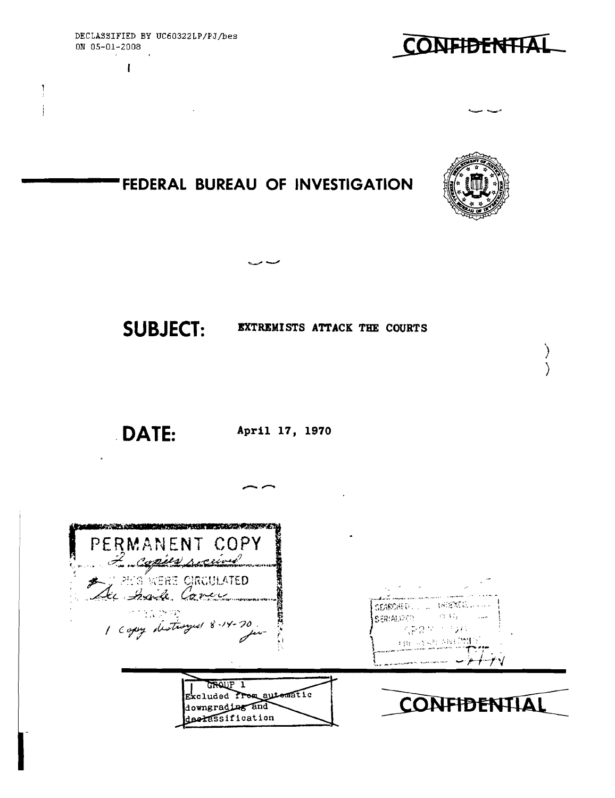

 $\mathbf{I}$ 

 $\frac{1}{2}$  $\mathbf{I}$ 





### **FEDERAL BUREAU OF INVESTIGATION**

 $\sim$ 



) )

## SUBJECT: EXTREMISTS ATTACK THE COURTS

,**DATE:** 

**April 17, 1970**

--

| the first company of the company of the first company of the company of<br>PERMANENT COPY<br>For copies perceived |                                                                                                                            |
|-------------------------------------------------------------------------------------------------------------------|----------------------------------------------------------------------------------------------------------------------------|
| A J PES WERE CIRCULATED<br>Sec Saile Cover<br>1 copy distances 8-14-70                                            | الموارد والمستنبذ والمستنب المعارضين<br>SEARCHED  NEWERLAND<br>SERIADO O PRI<br>人名克鲁尔 计已复线<br><b>THE REAL ANTIFICATION</b> |
| GROUP 1<br>Excluded Prom automatic<br>downgrading and<br>declassification                                         | CONFIDEN                                                                                                                   |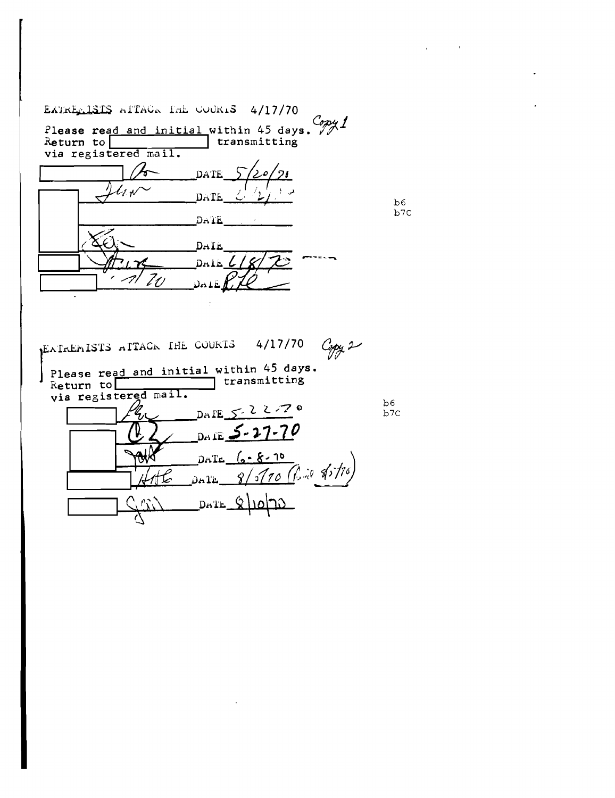EATRE $LISIS$  allACR The COURLS 4/17/70 Please read and initial within 45 days.  $\frac{C_{\rho\gamma}}{\gamma}$ Return to **I I** transmitting Return to  $\sqrt{\frac{1}{1} \cdot \frac{1}{1}}$   $\beta$  pate  $1-\frac{\sqrt{24N}}{8}$  DATE  $\frac{\sqrt{2}}{2}$  $D A'IE$ DAIL DALE  $\zeta$ EATREMISTS ATTACR THE COURTS 4/17/70 Copy 2<br>Please read and initial within 45 days.<br>Return to I Itransmitting via registered mail.  $b6$ DATE  $5 - 2270$ b7C DAIE <u>S-</u>  $\mathcal{L} \cdot k$ **DATE** Bill 85/16  $\mathcal{Q}$  $70^{\circ}$ كة 飞 Dala  $\hat{Q}$ ۱۵۱۹۵  $D = 1E$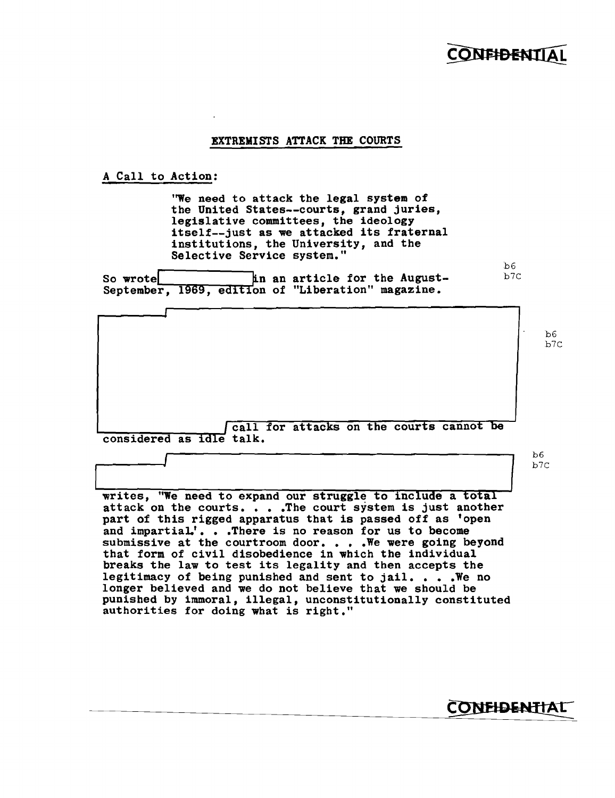### **CONFIDENT**

 $b6$ <br> $b7$ 

#### EXTREMISTS ATTACK THE COURTS

A Call to Action:

'We need to attack the legal system of the United States--courts, grand juries, legislative committees, the ideology itself--just as we attacked its fraternal institutions, the University, and the Selective Service system."

So wrote  $\qquad$  in an article for the August-September, 1969, edition of "Liberation" magazine.

b6 b7C call for attacks on the courts cannot be considered as idle talk.  $b6$ <br> $b7$ considered as idle talk.

writes, "We need to expand our struggle to include a total attack on the courts....The court system is just another attack on the courts. . . . The court system is just another part of this rigged apparatus that is passed off as 'open and impartial.'. . . There is no reason for us to become submissive at the courtroom door... We were going beyond that form of civil disobedience in which the individual breaks the law to test its legality and then accepts the legitimacy of being punished and sent to jail.  $\ldots$  . We no longer believed and we do not believe that we should be punished by immoral, illegal, unconstitutionally constituted authorities for doing what is right."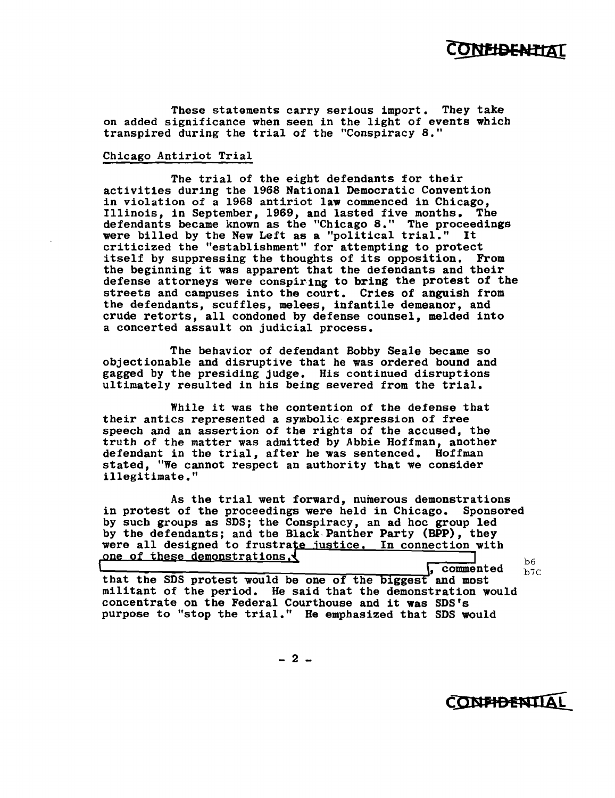

These statements carry serious import. They take on added significance when seen in the light of events which transpired during the trial of the "Conspiracy 8."

#### Chicago Antiriot Trial

The trial of the eight defendants for their activities during the 1968 National Democratic Convention in violation of a 1968 antiriot law commenced in Chicago, Illinois, in September, 1969, and lasted five months. The defendants became known as the "Chicago 8." The proceedings were billed by the New Left as a "political trial." It criticized the "establishment" for attempting to protect itself by suppressing the thoughts of its opposition. From the beginning it was apparent that the defendants and their defense attorneys were conspiring to bring the protest of the streets and campuses into the court. Cries of anguish from the defendants, scuffles, melees, infantile demeanor, and crude retorts, all condoned by defense counsel, melded into a concerted assault on judicial process.

The behavior of defendant Bobby Seale became so objectionable and disruptive that he was ordered bound and gagged by the presiding judge. His continued disruptions ultimately resulted in his being severed from the trial.  $\overline{\phantom{a}}$ 

While it was the contention of the defense that their antics represented a symbolic expression of free speech and an assertion of the rights of the accused, the truth of the matter was admitted by Abbie Hoffman, another defendant in the trial, after he was sentenced. Hoffman stated, "We cannot respect an authority that we consider illegitimate." Ï

As the trial went forward, numerous demonstrations in protest of the proceedings were held in Chicago. Sponsored by such groups as SDS; the Conspiracy, an ad hoc group led by the defendants; and the Black Panther Party (BPP), they were all designed to frustrate justice. In connection with strations. that the SDS protest would be one of the biggest and most  $\frac{100}{b7C}$ militant of the period. He said that the demonstration would

concentrate on the Federal Courthouse and it was SDS's purpose to "stop the trial." He emphasized that SDS would

 $-2 -$ 

CONFIDENTIAL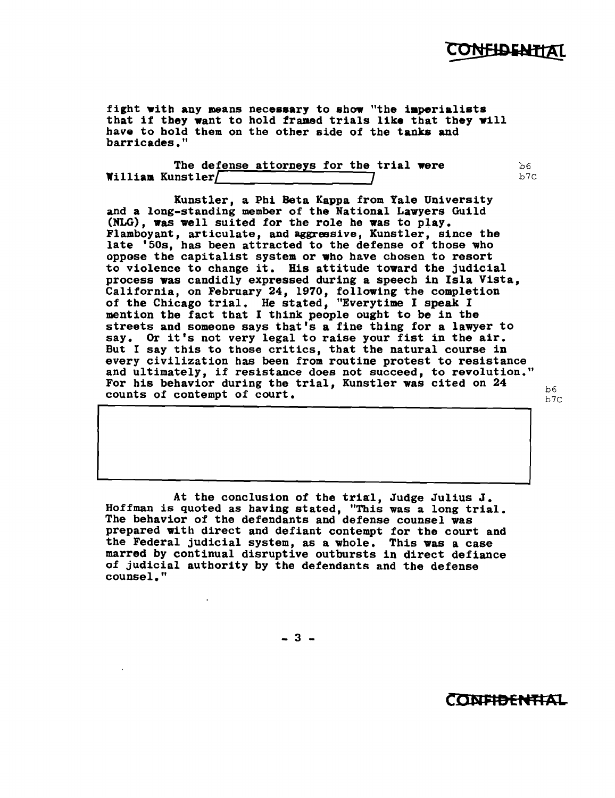### C**ONF<del>I</del>DENT**TAT

fight with any means necessary to show "the imperialists that if they want to hold framed trials like that they will have to hold them on the other side of the tanks and barricades."

The defense attorneys for the trial were  $b \nvert \frac{1}{b}$  b6  $W$ illiam Kunstler $/$ 

Kunstler, a Phi Beta Kappa from Yale University and a long-standing member of the National Lawyers Guild (NLG), was well suited for the role he was to play. Flamboyant, articulate, and aggressive, Kunstler, since the late '50S, has been attracted to the defense of those who oppose the capitalist system or who have chosen to resort to violence to change it. His attitude toward the judicial process was candidly expressed during a speech in Isla Vista, California, on February 24, 1970, following the completion of the Chicago trial. He stated, "Everytime I speak I mention the fact that I think people ought to be in the streets and someone says that's a fine thing for a lawyer to say. Or it's not very legal to raise your fist in the air. But I say this to those critics, that the natural course in every civilization has been from routine protest to resistance and ultimately, if resistance does not succeed, to revolution." For his behavior during the trial, Kunstler was cited on 24 b6 counts of contempt of court.

At the conclusion of the trial, Judge Julius J. Hoffman is quoted as having stated, "This was a long trial. The behavior of the defendants and defense counsel was prepared with direct and defiant contempt for the court and the Federal jUdicial system, as a whole. This was a case marred by continual disruptive outbursts in direct defiance of jUdicial authority by the defendants and the defense counsel."

 $-3 -$ 

**COISIFIDer4TIAl.**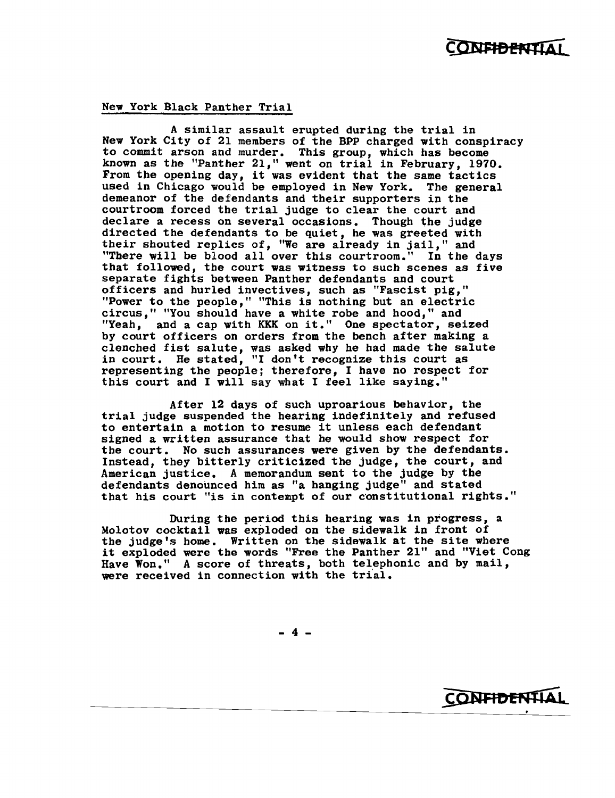### CONFIDENTIAI

**CONFIDENTIAL** 

#### New York Black Panther Trial

A similar assault erupted during the trial in New York City of 21 members of the BPP charged with conspiracy to commit arson and murder. This group, which has become known as the "Panther 21," went on trial in February, 1970. From the opening day, it was evident that the same tactics used in Chicago would be employed in New York. The general demeanor of the defendants and their supporters in the courtroom forced the trial judge to clear the court and declare a recess on several occasions. Though the judge directed the defendants to be quiet, he was greeted with their shouted replies of, "We are already in jail," and "There will be blood all over this courtroom." In the days that followed, the court was witness to such scenes as five separate fights between Panther defendants and court officers and hurled invectives, such as "Fascist pig," "Power to the people," "This is nothing but an electric circus," "You should have a white robe and hood," and "Yeah, and a cap with KKK on it." One spectator, seized by court officers on orders from the bench after making a clenched fist salute, was asked why he had made the salute in court. He stated, "I don't recognize this court as representing the people; therefore, I have no respect for this court and I will say what I feel like saying."

After 12 days of such uproarious behavior, the trial judge suspended the hearing indefinitely and refused to entertain a motion to resume it unless each defendant signed a written assurance that he would show respect for the court. No such assurances were given by the defendants. Instead, they bitterly criticized the judge, the court, and American justice. A memorandum sent to the judge by tbe defendants denounced him as "a hanging judge" and stated that his court "is in contempt of our constitutional rights."

During the period this hearing was in progress, a Molotov cocktail was exploded on the sidewalk in front of the judge's home. Written on the sidewalk at the site where it exploded were the words "Free the Panther 21" and "Viet Cong Have  $W$ on." A score of threats, both telephonic and by mail, were received in connection with the trial.

- 4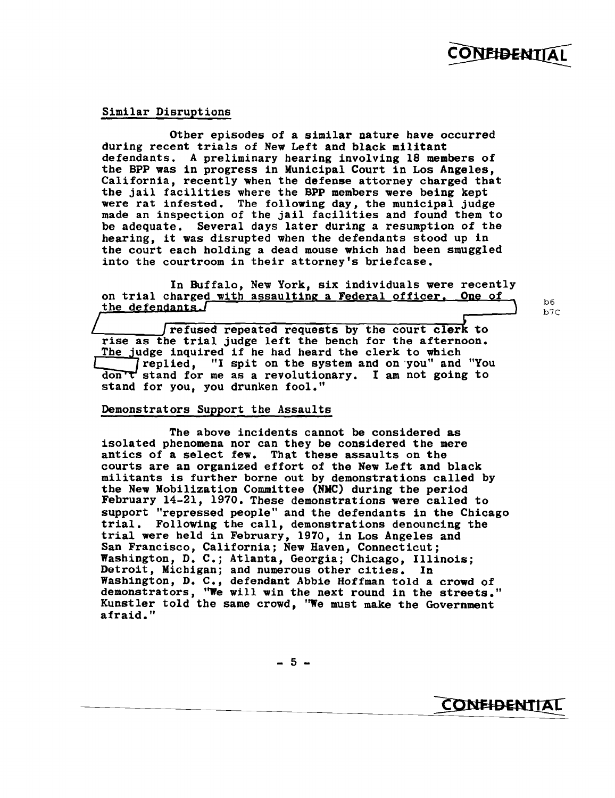#### Similar Disruptions

Other episodes of a similar nature have occurred during recent trials of New Left and black militant defendants. A preliminary hearing involving 18 members of the BPP was in progress in Municipal Court in Los Angeles, California, recently when the defense attorney charged that the jail facilities where the BPP members were being kept were rat infested. The following day, the municipal judge made an inspection of the jail facilities and found them to be adequate. Several days later during a resumption of the hearing, it was disrupted when the defendants stood up in the court each holding a dead mouse which had been smuggled into the courtroom in their attorney's briefcase.

In Buffalo, New York, six individuals were recently on trial charged with assaulting a Federal officer. One of the defendants.

refused repeated requests by the court clerk to rise as the trial judge left the bench for the afternoon. The judge inquired if he had heard the clerk to which replied, "I spit on the system and on 'you" and "You  $dom \tau'$  stand for me as a revolutionary. I am not going to stand for you, you drunken fool."

#### Demonstrators Support the Assaults

The above incidents cannot be considered as isolated phenomena nor can they be considered the mere antics of a select few. That these assaults on the courts are an organized effort of the New Left and black militants is further borne out by demonstrations called by the New Mobilization Committee (NMC) during the period February 14-21, 1970. These demonstrations were called to support "repressed people" and the defendants in the Chicago trial. Following the call, demonstrations denouncing the trial were held in February, 1970, in Los Angeles and San Francisco, California; New Haven, Connecticut; Washington, D. *C.;* Atlanta, Georgia; Chicago, Illinois; mushington, B. C., heimsul, decigin, chicago, 1111 Washington, D. C., defendant Abbie Hoffman told a crowd of demonstrators, "We will win the next round in the streets." Kunstler told the same crowd, "We must make the Government afraid."

b6  $b7C$ 

**CONFIDENTIAL**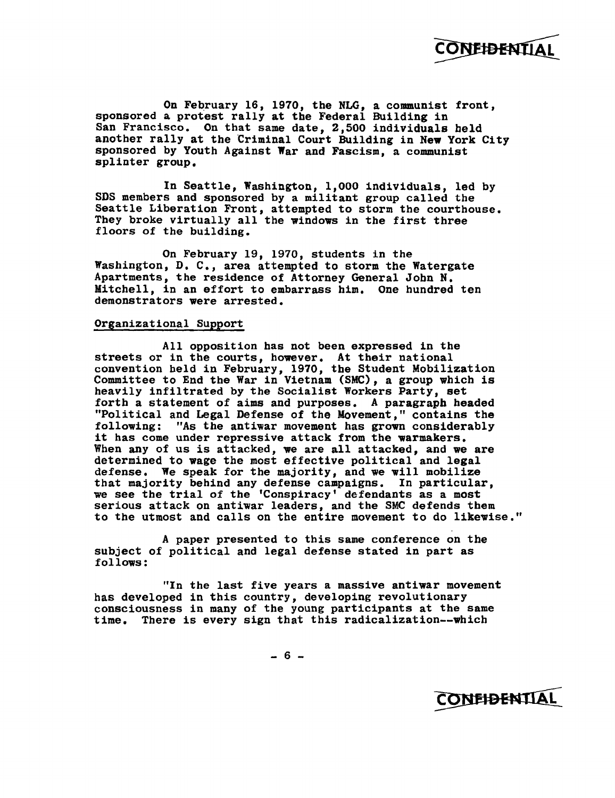

On February 16, 1970, the NLG, a communist front, sponsored a protest rally at the Federal Building in San Francisco. On that same date, 2,500 individuals beld another rally at the Criminal Court Building in New York City sponsored by Youth Against War and Fascism, a communist splinter group.

In Seattle, Washington, 1,000 individuals, led by SDS members and sponsored by a militant group called the Seattle Liberation Front, attempted to storm the courthouse. They broke virtually all the windows in the first three floors of the building.

On February 19, 1970, students in the Washington, D. C., area attempted to storm the Watergate Apartments, the residence of Attorney General John N. Mitchell, in an effort to embarrass him. One hundred ten demonstrators were arrested.

#### Organizational Support

All opposition bas not been expressed in the streets or in the courts, however. At their national convention beld in February, 1970, tbe Student Mobilization Committee to End the War in Vietnam (SMC), a group which is heavily infiltrated by the Socialist Workers Party, set forth a statement of aims and purposes. A paragraph headed "Political and Legal Defense of the Movement," contains the following: "As the antiwar movement has grown considerably it has come under repressive attack from the warmakers. When any of us is attacked, we are all attacked, and we are determined to wage the most effective political and legal defense. We speak for the majority, and we will mobilize that majority behind any defense campaigns. In particular, we see the trial of the 'Conspiracy' defendants as a most serious attack on antiwar leaders, and the SMC defends them to the utmost and calls on the entire movement to do likewise."

A paper presented to this same conference on the subject of political and legal defense stated in part as follows:

"In the last five years a massive antiwar movement has developed in this country, developing revolutionary consciousness in many of the young participants at the same time. There is every sign that this radicalization--which

 $- 6 -$ 

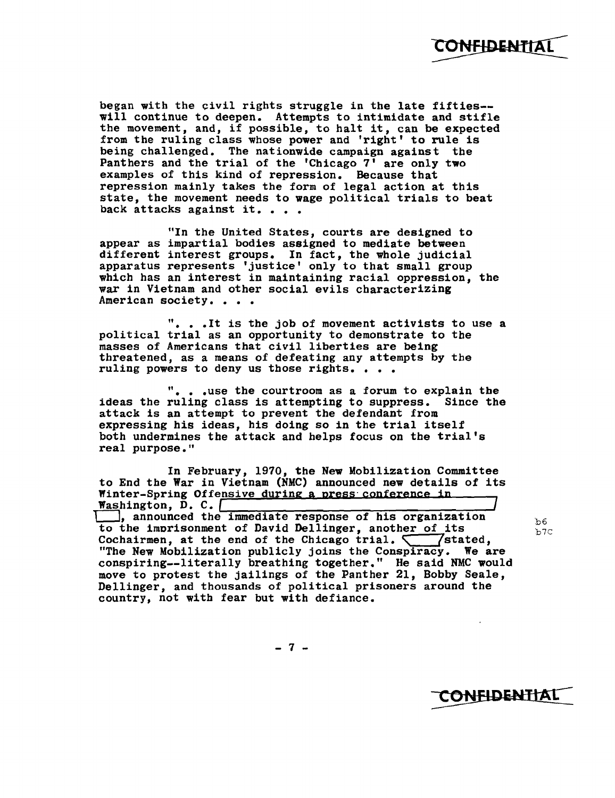began with the civil rights struggle in the late fifties will continue to deepen. Attempts to intimidate and stifle will continue to deepen. Attempts to intimidate and stiffe the movement, and, if possible, to halt it, can be expected from the ruling class whose power and 'right' to rule is Ï being challenged. The nationwide campaign against the Panthers and the trial of the 'Chicago 7' are only two examples of this kind of repression. Because that repression mainly takes the form of legal action at this state, the movement needs to wage political trials to beat<br>back attacks against it. . . .

"In the United States, courts are designed to appear as impartial bodies assigned to mediate between different interest groups. In fact, the whole judicial apparatus represents 'justice' only to that small group which has an interest in maintaining racial oppression, the war in Vietnam and other social evils characterizing<br>American society....

". • •It is the job of movement activists to use a political trial as an opportunity to demonstrate to the masses of Americans that civil liberties are being threatened, as a means of defeating any attempts by the ruling powers to deny us those rights. . . .

 $"$ . . . use the courtroom as a forum to explain the ideas the ruling class is attempting to suppress. Since the attack is an attempt to prevent the defendant from expressing his ideas, his doing so in the trial itself  $\overline{\phantom{a}}$ expressing his ideas, his doing so in the trial fiselihooth undermines the attack and helps focus on the trial's real purpose."

In February, 1970, the New Mobilization Committee to End the War in Vietnam (NMC) announced new details of its Winter-Spring Offensive during a press· conference in  $\overline{\phantom{a}}$ while  $F = \text{Spring}$  of  $F = \text{Sprig}$  of  $F = \text{Sprig}$  and  $F = \text{Sprig}$  and  $F = \text{Sprig}$  and  $F = \text{Sprig}$  and  $F = \text{Sprig}$  and  $F = \text{Sprig}$  and  $F = \text{Sprig}$  and  $F = \text{Sprig}$  and  $F = \text{Sprig}$  and  $F = \text{Sprig}$  and  $F = \text{Sprig}$  and  $F = \text{Sprig$ the immediate response of his organization to the imprisonment of David Dellinger, another of its b6 Cochairmen, at the end of the Chicago trial.  $\sqrt{\phantom{a}}$  /stated, "The New Mobilization publicly joins the Conspiracy. We are conspiring--1itera11y breathing together." He said NMC would move to protest the jailings of the Panther 21, Bobby Seale, Dellinger, and thousands of political prisoners around the country, not with fear but with defiance.

 $-7 -$ 

CONFIDENTIAL